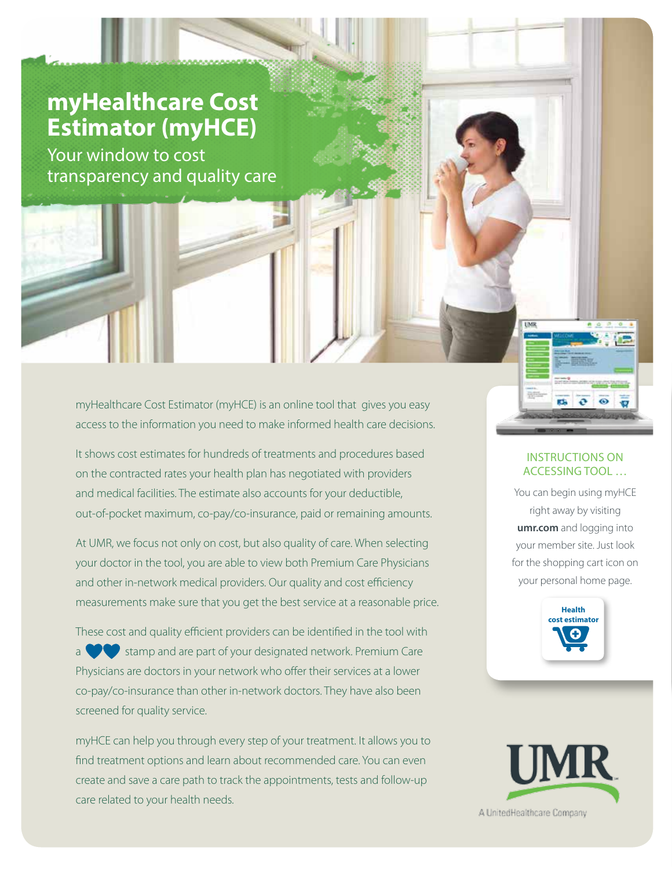# **myHealthcare Cost Estimator (myHCE)**

Your window to cost transparency and quality care

> myHealthcare Cost Estimator (myHCE) is an online tool that gives you easy access to the information you need to make informed health care decisions.

> It shows cost estimates for hundreds of treatments and procedures based on the contracted rates your health plan has negotiated with providers and medical facilities. The estimate also accounts for your deductible, out-of-pocket maximum, co-pay/co-insurance, paid or remaining amounts.

At UMR, we focus not only on cost, but also quality of care. When selecting your doctor in the tool, you are able to view both Premium Care Physicians and other in-network medical providers. Our quality and cost efficiency measurements make sure that you get the best service at a reasonable price.

These cost and quality efficient providers can be identified in the tool with stamp and are part of your designated network. Premium Care Physicians are doctors in your network who offer their services at a lower co-pay/co-insurance than other in-network doctors. They have also been screened for quality service.

myHCE can help you through every step of your treatment. It allows you to find treatment options and learn about recommended care. You can even create and save a care path to track the appointments, tests and follow-up care related to your health needs.

#### INSTRUCTIONS ON ACCESSING TOOL …

You can begin using myHCE right away by visiting **umr.com** and logging into your member site. Just look for the shopping cart icon on your personal home page.



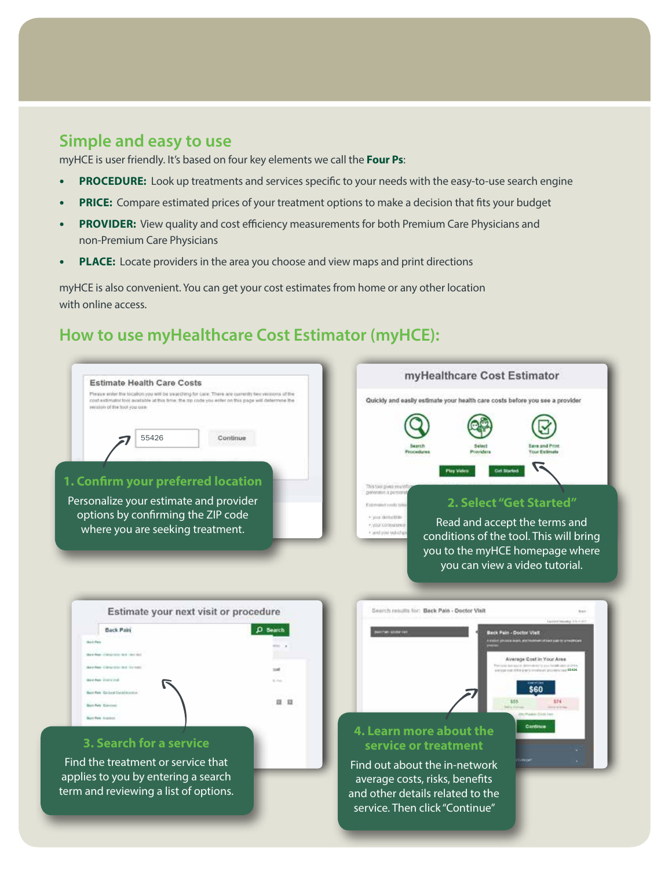### **Simple and easy to use**

myHCE is user friendly. It's based on four key elements we call the **Four Ps**:

- **• PROCEDURE:** Look up treatments and services specific to your needs with the easy-to-use search engine
- **• PRICE:** Compare estimated prices of your treatment options to make a decision that fits your budget
- **• PROVIDER:** View quality and cost efficiency measurements for both Premium Care Physicians and non-Premium Care Physicians
- **• PLACE:** Locate providers in the area you choose and view maps and print directions

myHCE is also convenient. You can get your cost estimates from home or any other location with online access.

## **How to use myHealthcare Cost Estimator (myHCE):**

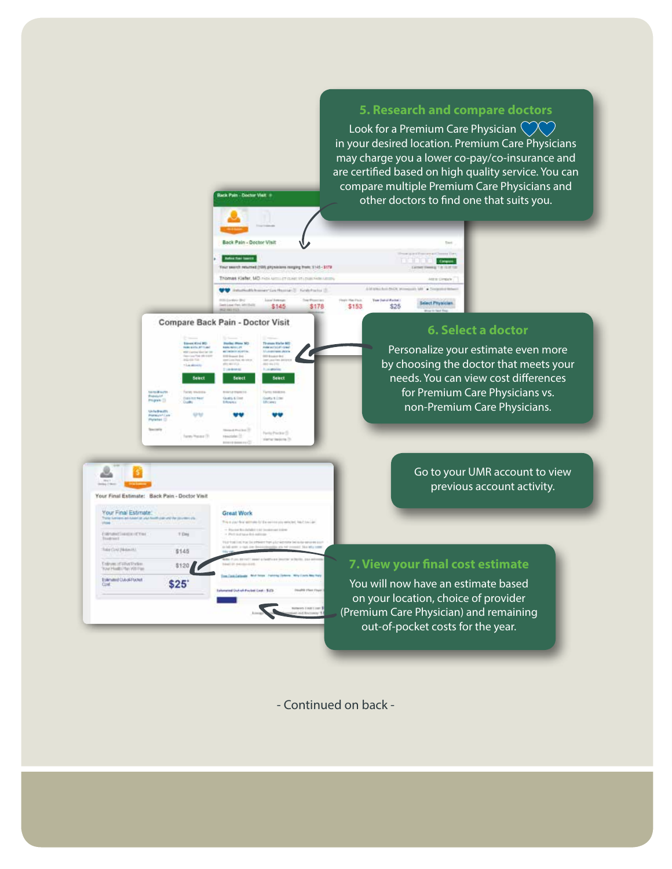#### **5. Research and compare doctors**

Look for a Premium Care Physician  $\heartsuit\heartsuit$ in your desired location. Premium Care Physicians may charge you a lower co-pay/co-insurance and are certified based on high quality service. You can compare multiple Premium Care Physicians and other doctors to find one that suits you.

**DOM: NO. 09995** 

**Belevit Physician** 

 $$25$ 

Compare Back Pain - Doctor Visit

**Great Work** 

≗

Exin

G

Your Final Estimate:

Enlisten of What Parker<br>Your Health Play VIS For

Estmand Cubol Pocket

Intelligible **Second New York** 

Your Final Estimate: Back Pain - Doctor Visit

 $+164$ 

\$145

\$120

 $$25$ 

**k Pain - Doctor Vielt +** 

Back Pain - Doctor Visit **Ballis For Service** 

 $145$ 

\$145

maging him, 2145-3178

(a) [] First Practice []

 $\overline{\mathcal{L}}$ 

\$178

\$153

#### **6. Select a doctor**

Personalize your estimate even more by choosing the doctor that meets your needs. You can view cost differences for Premium Care Physicians vs. non-Premium Care Physicians.

#### Go to your UMR account to view previous account activity.

#### **7. View your final cost estimate**

You will now have an estimate based on your location, choice of provider (Premium Care Physician) and remaining out-of-pocket costs for the year.

- Continued on back -